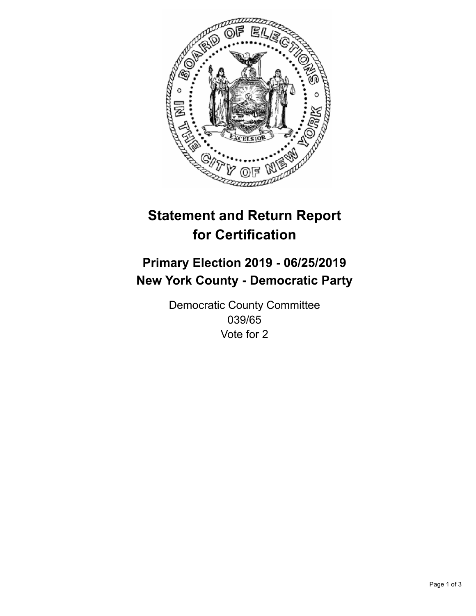

## **Statement and Return Report for Certification**

## **Primary Election 2019 - 06/25/2019 New York County - Democratic Party**

Democratic County Committee 039/65 Vote for 2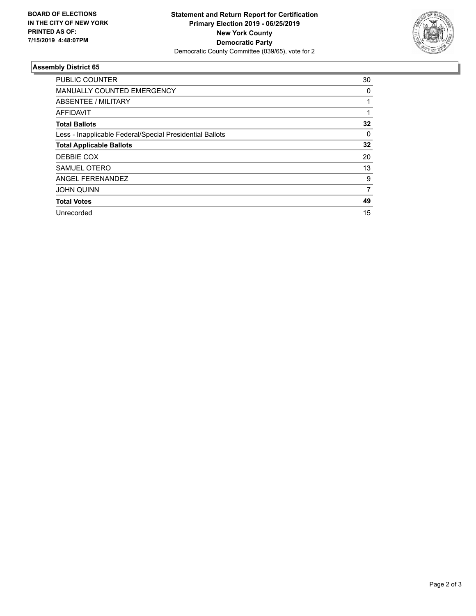

## **Assembly District 65**

| <b>PUBLIC COUNTER</b>                                    | 30       |
|----------------------------------------------------------|----------|
| <b>MANUALLY COUNTED EMERGENCY</b>                        | 0        |
| ABSENTEE / MILITARY                                      |          |
| AFFIDAVIT                                                |          |
| <b>Total Ballots</b>                                     | 32       |
| Less - Inapplicable Federal/Special Presidential Ballots | $\Omega$ |
| <b>Total Applicable Ballots</b>                          | 32       |
| DEBBIE COX                                               | 20       |
| SAMUEL OTERO                                             | 13       |
| ANGEL FERENANDEZ                                         | 9        |
| <b>JOHN QUINN</b>                                        | 7        |
| <b>Total Votes</b>                                       | 49       |
| Unrecorded                                               | 15       |